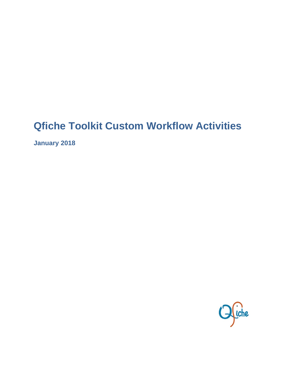# **Qfiche Toolkit Custom Workflow Activities**

**January 2018** 

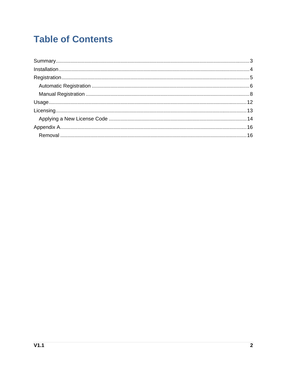## **Table of Contents**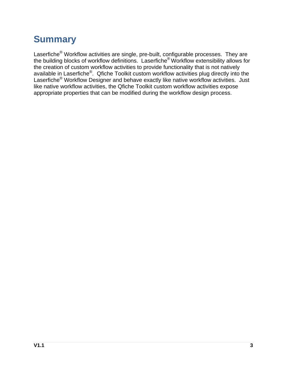## **Summary**

Laserfiche<sup>®</sup> Workflow activities are single, pre-built, configurable processes. They are the building blocks of workflow definitions. Laserfiche® Workflow extensibility allows for the creation of custom workflow activities to provide functionality that is not natively available in Laserfiche®. Qfiche Toolkit custom workflow activities plug directly into the Laserfiche® Workflow Designer and behave exactly like native workflow activities. Just like native workflow activities, the Qfiche Toolkit custom workflow activities expose appropriate properties that can be modified during the workflow design process.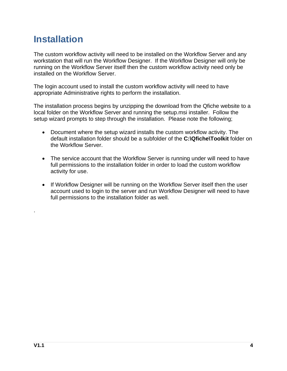## **Installation**

The custom workflow activity will need to be installed on the Workflow Server and any workstation that will run the Workflow Designer. If the Workflow Designer will only be running on the Workflow Server itself then the custom workflow activity need only be installed on the Workflow Server.

The login account used to install the custom workflow activity will need to have appropriate Administrative rights to perform the installation.

The installation process begins by unzipping the download from the Qfiche website to a local folder on the Workflow Server and running the setup.msi installer. Follow the setup wizard prompts to step through the installation. Please note the following;

- Document where the setup wizard installs the custom workflow activity. The default installation folder should be a subfolder of the **C:\Qfiche\Toolkit** folder on the Workflow Server.
- The service account that the Workflow Server is running under will need to have full permissions to the installation folder in order to load the custom workflow activity for use.
- If Workflow Designer will be running on the Workflow Server itself then the user account used to login to the server and run Workflow Designer will need to have full permissions to the installation folder as well.

.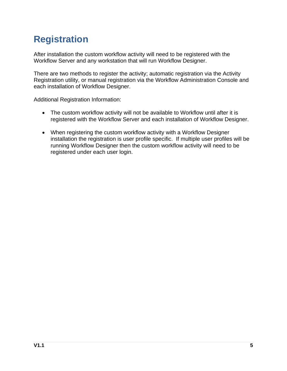# **Registration**

After installation the custom workflow activity will need to be registered with the Workflow Server and any workstation that will run Workflow Designer.

There are two methods to register the activity; automatic registration via the Activity Registration utility, or manual registration via the Workflow Administration Console and each installation of Workflow Designer.

Additional Registration Information:

- The custom workflow activity will not be available to Workflow until after it is registered with the Workflow Server and each installation of Workflow Designer.
- When registering the custom workflow activity with a Workflow Designer installation the registration is user profile specific. If multiple user profiles will be running Workflow Designer then the custom workflow activity will need to be registered under each user login.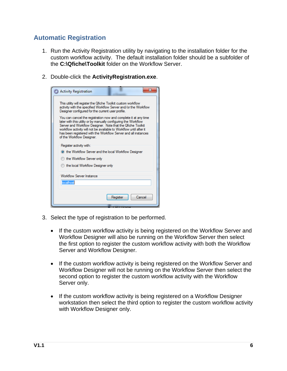### **Automatic Registration**

- 1. Run the Activity Registration utility by navigating to the installation folder for the custom workflow activity. The default installation folder should be a subfolder of the **C:\Qfiche\Toolkit** folder on the Workflow Server.
- 2. Double-click the **ActivityRegistration.exe**.

| <b>C.</b> Activity Registration                                                                                                                                                                                                                                                                                                                                       | x                  |  |  |
|-----------------------------------------------------------------------------------------------------------------------------------------------------------------------------------------------------------------------------------------------------------------------------------------------------------------------------------------------------------------------|--------------------|--|--|
| This utility will register the Qfiche Toolkit custom workflow<br>activity with the specified Workflow Server and/or the Workflow<br>Designer configured for the current user profile.                                                                                                                                                                                 |                    |  |  |
| You can cancel the registration now and complete it at any time<br>later with this utility or by manually configuring the Workflow<br>Server and Workflow Designer. Note that the Qfiche Toolkit<br>workflow activity will not be available to Workflow until after it<br>has been registered with the Workflow Server and all instances<br>of the Workflow Designer. |                    |  |  |
| Register activity with:                                                                                                                                                                                                                                                                                                                                               |                    |  |  |
| the Workflow Server and the local Workflow Designer                                                                                                                                                                                                                                                                                                                   |                    |  |  |
| ◯ the Workflow Server only                                                                                                                                                                                                                                                                                                                                            |                    |  |  |
| the local Workflow Designer only                                                                                                                                                                                                                                                                                                                                      |                    |  |  |
| <b>Workflow Server Instance</b>                                                                                                                                                                                                                                                                                                                                       |                    |  |  |
| localhost                                                                                                                                                                                                                                                                                                                                                             |                    |  |  |
|                                                                                                                                                                                                                                                                                                                                                                       |                    |  |  |
|                                                                                                                                                                                                                                                                                                                                                                       | Cancel<br>Register |  |  |
|                                                                                                                                                                                                                                                                                                                                                                       |                    |  |  |

- 3. Select the type of registration to be performed.
	- If the custom workflow activity is being registered on the Workflow Server and Workflow Designer will also be running on the Workflow Server then select the first option to register the custom workflow activity with both the Workflow Server and Workflow Designer.
	- If the custom workflow activity is being registered on the Workflow Server and Workflow Designer will not be running on the Workflow Server then select the second option to register the custom workflow activity with the Workflow Server only.
	- If the custom workflow activity is being registered on a Workflow Designer workstation then select the third option to register the custom workflow activity with Workflow Designer only.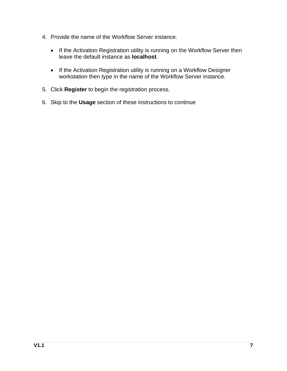- 4. Provide the name of the Workflow Server instance.
	- If the Activation Registration utility is running on the Workflow Server then leave the default instance as **localhost**.
	- If the Activation Registration utility is running on a Workflow Designer workstation then type in the name of the Workflow Server instance.
- 5. Click **Register** to begin the registration process.
- 6. Skip to the **Usage** section of these instructions to continue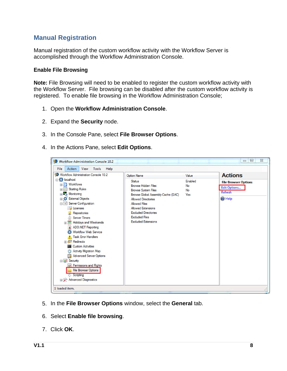### **Manual Registration**

Manual registration of the custom workflow activity with the Workflow Server is accomplished through the Workflow Administration Console.

#### **Enable File Browsing**

**Note:** File Browsing will need to be enabled to register the custom workflow activity with the Workflow Server. File browsing can be disabled after the custom workflow activity is registered. To enable file browsing in the Workflow Administration Console;

- 1. Open the **Workflow Administration Console**.
- 2. Expand the **Security** node.
- 3. In the Console Pane, select **File Browser Options**.
- 4. In the Actions Pane, select **Edit Options**.

- 5. In the **File Browser Options** window, select the **General** tab.
- 6. Select **Enable file browsing**.
- 7. Click **OK**.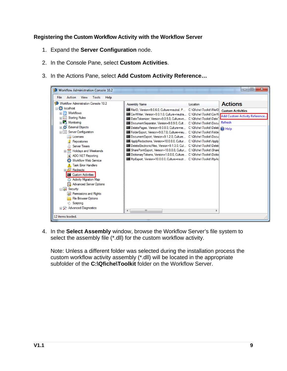#### **Registering the Custom Workflow Activity with the Workflow Server**

- 1. Expand the **Server Configuration** node.
- 2. In the Console Pane, select **Custom Activities**.
- 3. In the Actions Pane, select **Add Custom Activity Reference…**



4. In the **Select Assembly** window, browse the Workflow Server's file system to select the assembly file (\*.dll) for the custom workflow activity.

Note: Unless a different folder was selected during the installation process the custom workflow activity assembly (\*.dll) will be located in the appropriate subfolder of the **C:\Qfiche\Toolkit** folder on the Workflow Server.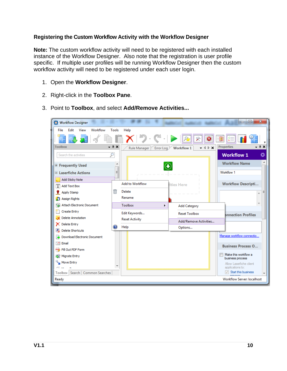#### **Registering the Custom Workflow Activity with the Workflow Designer**

**Note:** The custom workflow activity will need to be registered with each installed instance of the Workflow Designer. Also note that the registration is user profile specific. If multiple user profiles will be running Workflow Designer then the custom workflow activity will need to be registered under each user login.

- 1. Open the **Workflow Designer**.
- 2. Right-click in the **Toolbox Pane**.
- 3. Point to **Toolbox**, and select **Add/Remove Activities...**

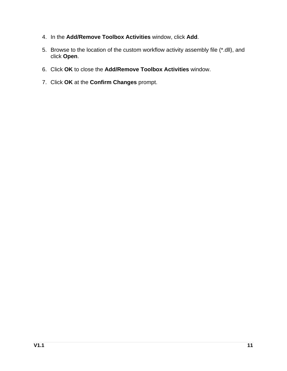- 4. In the **Add/Remove Toolbox Activities** window, click **Add**.
- 5. Browse to the location of the custom workflow activity assembly file (\*.dll), and click **Open**.
- 6. Click **OK** to close the **Add/Remove Toolbox Activities** window.
- 7. Click **OK** at the **Confirm Changes** prompt.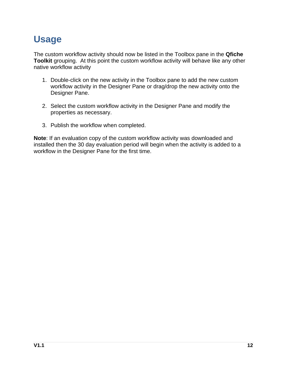## **Usage**

The custom workflow activity should now be listed in the Toolbox pane in the **Qfiche Toolkit** grouping. At this point the custom workflow activity will behave like any other native workflow activity

- 1. Double-click on the new activity in the Toolbox pane to add the new custom workflow activity in the Designer Pane or drag/drop the new activity onto the Designer Pane.
- 2. Select the custom workflow activity in the Designer Pane and modify the properties as necessary.
- 3. Publish the workflow when completed.

**Note**: If an evaluation copy of the custom workflow activity was downloaded and installed then the 30 day evaluation period will begin when the activity is added to a workflow in the Designer Pane for the first time.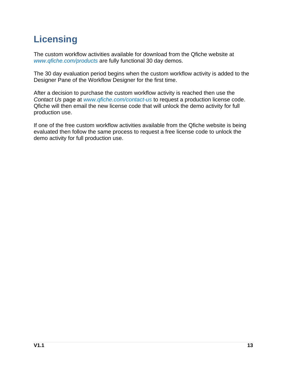# **Licensing**

The custom workflow activities available for download from the Qfiche website at *www.qfiche.com/products* are fully functional 30 day demos.

The 30 day evaluation period begins when the custom workflow activity is added to the Designer Pane of the Workflow Designer for the first time.

After a decision to purchase the custom workflow activity is reached then use the *Contact Us* page at *www.qfiche.com/contact-us* to request a production license code. Qfiche will then email the new license code that will unlock the demo activity for full production use.

If one of the free custom workflow activities available from the Qfiche website is being evaluated then follow the same process to request a free license code to unlock the demo activity for full production use.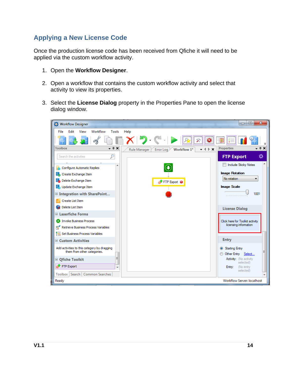### **Applying a New License Code**

Once the production license code has been received from Qfiche it will need to be applied via the custom workflow activity.

- 1. Open the **Workflow Designer**.
- 2. Open a workflow that contains the custom workflow activity and select that activity to view its properties.
- 3. Select the **License Dialog** property in the Properties Pane to open the license dialog window.

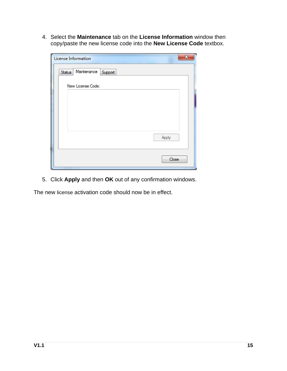4. Select the **Maintenance** tab on the **License Information** window then copy/paste the new license code into the **New License Code** textbox.

| License Information              | $\boldsymbol{\mathsf{x}}$ |
|----------------------------------|---------------------------|
| Maintenance<br>Status<br>Support |                           |
| New License Code:                |                           |
|                                  |                           |
| Apply                            |                           |
|                                  | Close                     |

5. Click **Apply** and then **OK** out of any confirmation windows.

The new license activation code should now be in effect.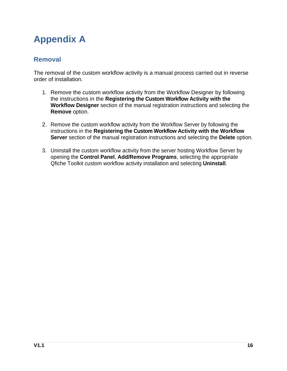# **Appendix A**

### **Removal**

The removal of the custom workflow activity is a manual process carried out in reverse order of installation.

- 1. Remove the custom workflow activity from the Workflow Designer by following the instructions in the **Registering the Custom Workflow Activity with the Workflow Designer** section of the manual registration instructions and selecting the **Remove** option.
- 2. Remove the custom workflow activity from the Workflow Server by following the instructions in the **Registering the Custom Workflow Activity with the Workflow Server** section of the manual registration instructions and selecting the **Delete** option.
- 3. Uninstall the custom workflow activity from the server hosting Workflow Server by opening the **Control Panel**, **Add/Remove Programs**, selecting the appropriate Qfiche Toolkit custom workflow activity installation and selecting **Uninstall**.